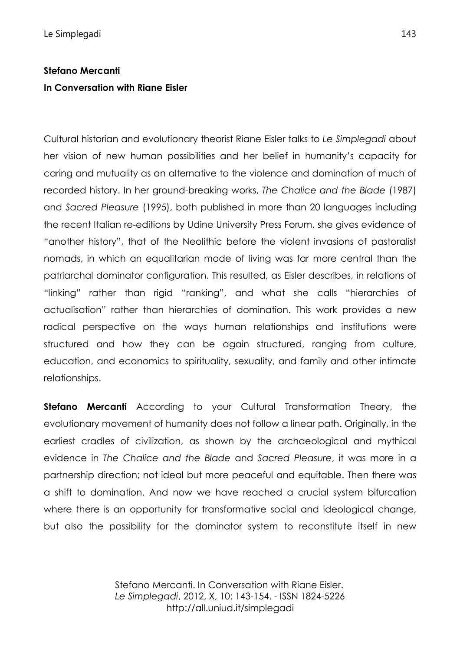## **Stefano Mercanti In Conversation with Riane Eisler**

Cultural historian and evolutionary theorist Riane Eisler talks to *Le Simplegadi* about her vision of new human possibilities and her belief in humanity's capacity for caring and mutuality as an alternative to the violence and domination of much of recorded history. In her ground-breaking works, *The Chalice and the Blade* (1987) and *Sacred Pleasure* (1995), both published in more than 20 languages including the recent Italian re-editions by Udine University Press Forum, she gives evidence of "another history", that of the Neolithic before the violent invasions of pastoralist nomads, in which an equalitarian mode of living was far more central than the patriarchal dominator configuration. This resulted, as Eisler describes, in relations of "linking" rather than rigid "ranking", and what she calls "hierarchies of actualisation" rather than hierarchies of domination. This work provides a new radical perspective on the ways human relationships and institutions were structured and how they can be again structured, ranging from culture, education, and economics to spirituality, sexuality, and family and other intimate relationships.

**Stefano Mercanti** According to your Cultural Transformation Theory, the evolutionary movement of humanity does not follow a linear path. Originally, in the earliest cradles of civilization, as shown by the archaeological and mythical evidence in *The Chalice and the Blade* and *Sacred Pleasure*, it was more in a partnership direction; not ideal but more peaceful and equitable. Then there was a shift to domination. And now we have reached a crucial system bifurcation where there is an opportunity for transformative social and ideological change, but also the possibility for the dominator system to reconstitute itself in new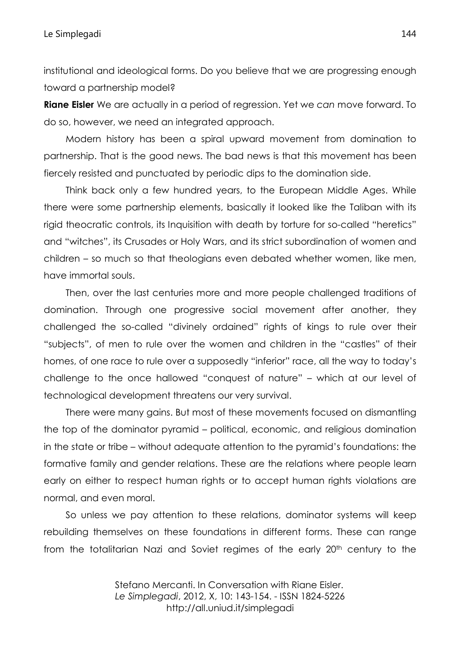institutional and ideological forms. Do you believe that we are progressing enough toward a partnership model?

**Riane Eisler** We are actually in a period of regression. Yet we *can* move forward. To do so, however, we need an integrated approach.

Modern history has been a spiral upward movement from domination to partnership. That is the good news. The bad news is that this movement has been fiercely resisted and punctuated by periodic dips to the domination side.

Think back only a few hundred years, to the European Middle Ages. While there were some partnership elements, basically it looked like the Taliban with its rigid theocratic controls, its Inquisition with death by torture for so-called "heretics" and "witches", its Crusades or Holy Wars, and its strict subordination of women and children – so much so that theologians even debated whether women, like men, have immortal souls.

Then, over the last centuries more and more people challenged traditions of domination. Through one progressive social movement after another, they challenged the so-called "divinely ordained" rights of kings to rule over their "subjects", of men to rule over the women and children in the "castles" of their homes, of one race to rule over a supposedly "inferior" race, all the way to today's challenge to the once hallowed "conquest of nature" – which at our level of technological development threatens our very survival.

There were many gains. But most of these movements focused on dismantling the top of the dominator pyramid – political, economic, and religious domination in the state or tribe – without adequate attention to the pyramid's foundations: the formative family and gender relations. These are the relations where people learn early on either to respect human rights or to accept human rights violations are normal, and even moral.

So unless we pay attention to these relations, dominator systems will keep rebuilding themselves on these foundations in different forms. These can range from the totalitarian Nazi and Soviet regimes of the early 20<sup>th</sup> century to the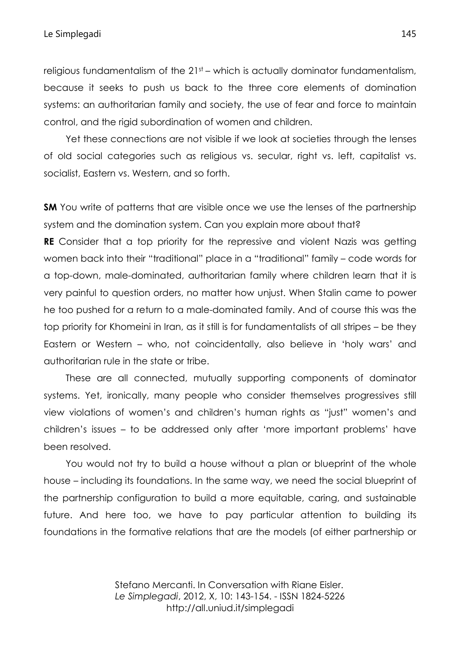religious fundamentalism of the 21<sup>st</sup> – which is actually dominator fundamentalism, because it seeks to push us back to the three core elements of domination systems: an authoritarian family and society, the use of fear and force to maintain control, and the rigid subordination of women and children.

Yet these connections are not visible if we look at societies through the lenses of old social categories such as religious vs. secular, right vs. left, capitalist vs. socialist, Eastern vs. Western, and so forth.

**SM** You write of patterns that are visible once we use the lenses of the partnership system and the domination system. Can you explain more about that?

**RE** Consider that a top priority for the repressive and violent Nazis was getting women back into their "traditional" place in a "traditional" family – code words for a top-down, male-dominated, authoritarian family where children learn that it is very painful to question orders, no matter how unjust. When Stalin came to power he too pushed for a return to a male-dominated family. And of course this was the top priority for Khomeini in Iran, as it still is for fundamentalists of all stripes – be they Eastern or Western – who, not coincidentally, also believe in 'holy wars' and authoritarian rule in the state or tribe.

These are all connected, mutually supporting components of dominator systems. Yet, ironically, many people who consider themselves progressives still view violations of women's and children's human rights as "just" women's and children's issues – to be addressed only after 'more important problems' have been resolved.

You would not try to build a house without a plan or blueprint of the whole house – including its foundations. In the same way, we need the social blueprint of the partnership configuration to build a more equitable, caring, and sustainable future. And here too, we have to pay particular attention to building its foundations in the formative relations that are the models (of either partnership or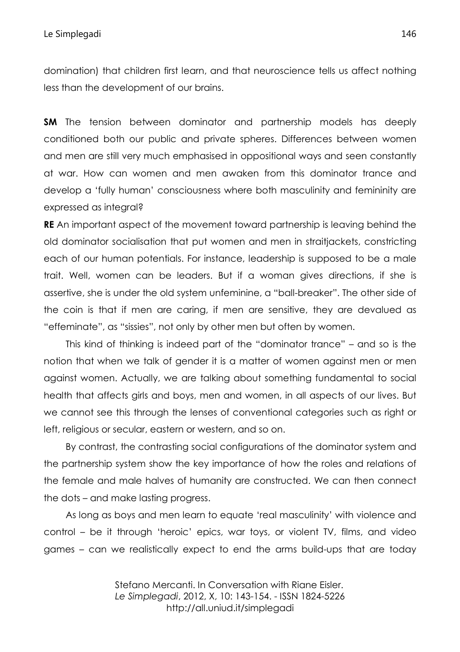domination) that children first learn, and that neuroscience tells us affect nothing less than the development of our brains.

**SM** The tension between dominator and partnership models has deeply conditioned both our public and private spheres. Differences between women and men are still very much emphasised in oppositional ways and seen constantly at war. How can women and men awaken from this dominator trance and develop a 'fully human' consciousness where both masculinity and femininity are expressed as integral?

**RE** An important aspect of the movement toward partnership is leaving behind the old dominator socialisation that put women and men in straitjackets, constricting each of our human potentials. For instance, leadership is supposed to be a male trait. Well, women can be leaders. But if a woman gives directions, if she is assertive, she is under the old system unfeminine, a "ball-breaker". The other side of the coin is that if men are caring, if men are sensitive, they are devalued as "effeminate", as "sissies", not only by other men but often by women.

This kind of thinking is indeed part of the "dominator trance" – and so is the notion that when we talk of gender it is a matter of women against men or men against women. Actually, we are talking about something fundamental to social health that affects girls and boys, men and women, in all aspects of our lives. But we cannot see this through the lenses of conventional categories such as right or left, religious or secular, eastern or western, and so on.

By contrast, the contrasting social configurations of the dominator system and the partnership system show the key importance of how the roles and relations of the female and male halves of humanity are constructed. We can then connect the dots – and make lasting progress.

As long as boys and men learn to equate 'real masculinity' with violence and control – be it through 'heroic' epics, war toys, or violent TV, films, and video games – can we realistically expect to end the arms build-ups that are today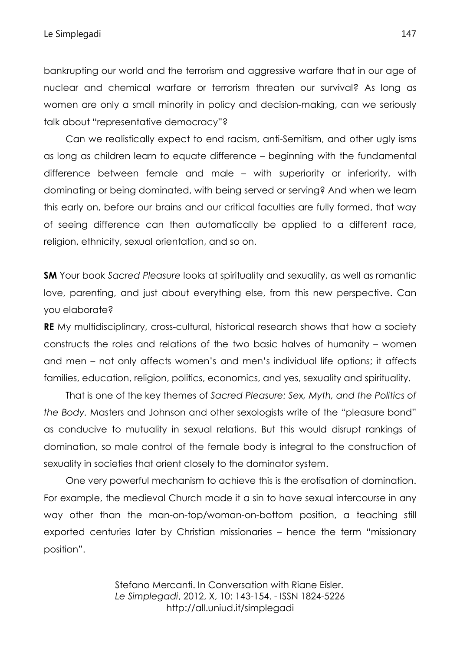bankrupting our world and the terrorism and aggressive warfare that in our age of nuclear and chemical warfare or terrorism threaten our survival? As long as women are only a small minority in policy and decision-making, can we seriously talk about "representative democracy"?

Can we realistically expect to end racism, anti-Semitism, and other ugly isms as long as children learn to equate difference – beginning with the fundamental difference between female and male – with superiority or inferiority, with dominating or being dominated, with being served or serving? And when we learn this early on, before our brains and our critical faculties are fully formed, that way of seeing difference can then automatically be applied to a different race, religion, ethnicity, sexual orientation, and so on.

**SM** Your book *Sacred Pleasure* looks at spirituality and sexuality, as well as romantic love, parenting, and just about everything else, from this new perspective. Can you elaborate?

**RE** My multidisciplinary, cross-cultural, historical research shows that how a society constructs the roles and relations of the two basic halves of humanity – women and men – not only affects women's and men's individual life options; it affects families, education, religion, politics, economics, and yes, sexuality and spirituality.

That is one of the key themes of *Sacred Pleasure: Sex, Myth, and the Politics of the Body.* Masters and Johnson and other sexologists write of the "pleasure bond" as conducive to mutuality in sexual relations. But this would disrupt rankings of domination, so male control of the female body is integral to the construction of sexuality in societies that orient closely to the dominator system.

One very powerful mechanism to achieve this is the erotisation of domination. For example, the medieval Church made it a sin to have sexual intercourse in any way other than the man-on-top/woman-on-bottom position, a teaching still exported centuries later by Christian missionaries – hence the term "missionary position".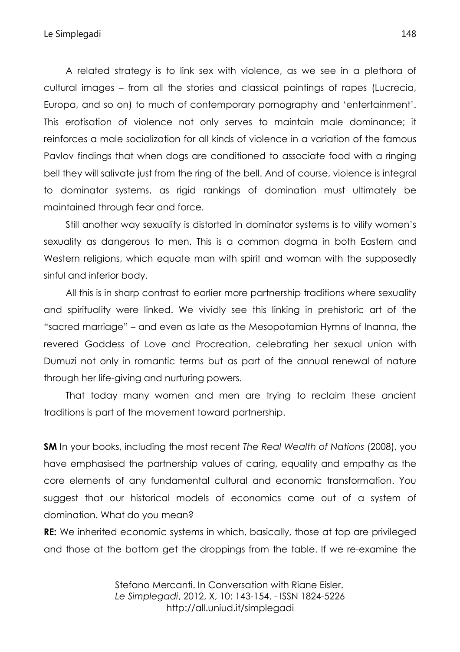A related strategy is to link sex with violence, as we see in a plethora of cultural images – from all the stories and classical paintings of rapes (Lucrecia, Europa, and so on) to much of contemporary pornography and 'entertainment'. This erotisation of violence not only serves to maintain male dominance; it reinforces a male socialization for all kinds of violence in a variation of the famous Pavlov findings that when dogs are conditioned to associate food with a ringing bell they will salivate just from the ring of the bell. And of course, violence is integral to dominator systems, as rigid rankings of domination must ultimately be maintained through fear and force.

Still another way sexuality is distorted in dominator systems is to vilify women's sexuality as dangerous to men. This is a common dogma in both Eastern and Western religions, which equate man with spirit and woman with the supposedly sinful and inferior body.

All this is in sharp contrast to earlier more partnership traditions where sexuality and spirituality were linked. We vividly see this linking in prehistoric art of the "sacred marriage" – and even as late as the Mesopotamian Hymns of Inanna, the revered Goddess of Love and Procreation, celebrating her sexual union with Dumuzi not only in romantic terms but as part of the annual renewal of nature through her life-giving and nurturing powers.

That today many women and men are trying to reclaim these ancient traditions is part of the movement toward partnership.

**SM** In your books, including the most recent *The Real Wealth of Nations* (2008), you have emphasised the partnership values of caring, equality and empathy as the core elements of any fundamental cultural and economic transformation. You suggest that our historical models of economics came out of a system of domination. What do you mean?

**RE:** We inherited economic systems in which, basically, those at top are privileged and those at the bottom get the droppings from the table. If we re-examine the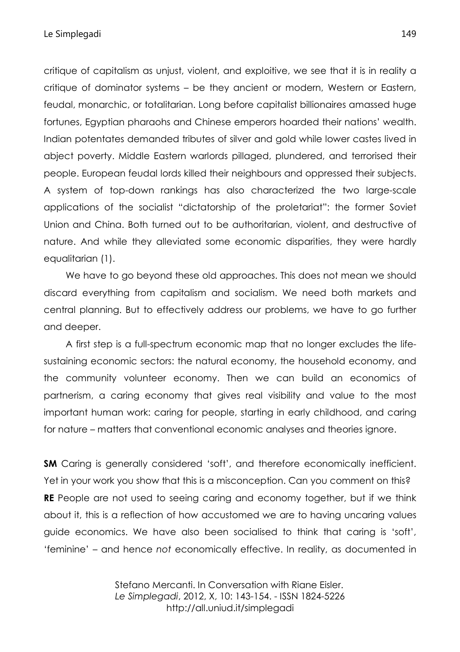critique of capitalism as unjust, violent, and exploitive, we see that it is in reality a critique of dominator systems – be they ancient or modern, Western or Eastern, feudal, monarchic, or totalitarian. Long before capitalist billionaires amassed huge fortunes, Egyptian pharaohs and Chinese emperors hoarded their nations' wealth. Indian potentates demanded tributes of silver and gold while lower castes lived in abject poverty. Middle Eastern warlords pillaged, plundered, and terrorised their people. European feudal lords killed their neighbours and oppressed their subjects. A system of top-down rankings has also characterized the two large-scale applications of the socialist "dictatorship of the proletariat": the former Soviet Union and China. Both turned out to be authoritarian, violent, and destructive of nature. And while they alleviated some economic disparities, they were hardly equalitarian (1).

We have to go beyond these old approaches. This does not mean we should discard everything from capitalism and socialism. We need both markets and central planning. But to effectively address our problems, we have to go further and deeper.

A first step is a full-spectrum economic map that no longer excludes the lifesustaining economic sectors: the natural economy, the household economy, and the community volunteer economy. Then we can build an economics of partnerism, a caring economy that gives real visibility and value to the most important human work: caring for people, starting in early childhood, and caring for nature – matters that conventional economic analyses and theories ignore.

**SM** Caring is generally considered 'soft', and therefore economically inefficient. Yet in your work you show that this is a misconception. Can you comment on this? **RE** People are not used to seeing caring and economy together, but if we think about it, this is a reflection of how accustomed we are to having uncaring values guide economics. We have also been socialised to think that caring is 'soft', 'feminine' – and hence *not* economically effective. In reality, as documented in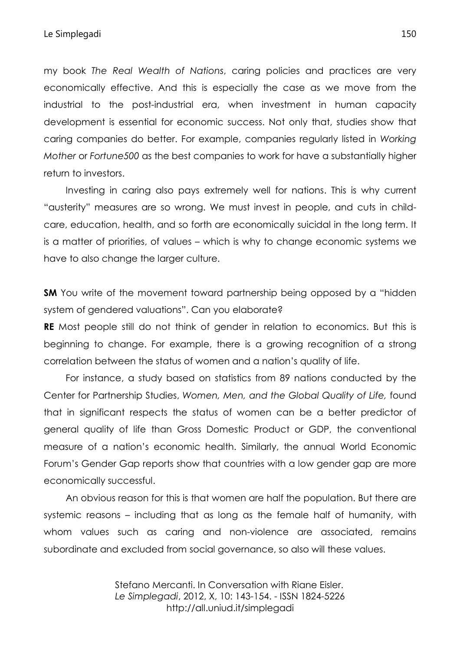my book *The Real Wealth of Nations*, caring policies and practices are very economically effective. And this is especially the case as we move from the industrial to the post-industrial era, when investment in human capacity development is essential for economic success. Not only that, studies show that caring companies do better. For example, companies regularly listed in *Working Mother* or *Fortune500* as the best companies to work for have a substantially higher return to investors.

Investing in caring also pays extremely well for nations. This is why current "austerity" measures are so wrong. We must invest in people, and cuts in childcare, education, health, and so forth are economically suicidal in the long term. It is a matter of priorities, of values – which is why to change economic systems we have to also change the larger culture.

**SM** You write of the movement toward partnership being opposed by a "hidden" system of gendered valuations". Can you elaborate?

**RE** Most people still do not think of gender in relation to economics. But this is beginning to change. For example, there is a growing recognition of a strong correlation between the status of women and a nation's quality of life.

For instance, a study based on statistics from 89 nations conducted by the Center for Partnership Studies, *Women, Men, and the Global Quality of Life,* found that in significant respects the status of women can be a better predictor of general quality of life than Gross Domestic Product or GDP, the conventional measure of a nation's economic health. Similarly, the annual World Economic Forum's Gender Gap reports show that countries with a low gender gap are more economically successful.

An obvious reason for this is that women are half the population. But there are systemic reasons – including that as long as the female half of humanity, with whom values such as caring and non-violence are associated, remains subordinate and excluded from social governance, so also will these values.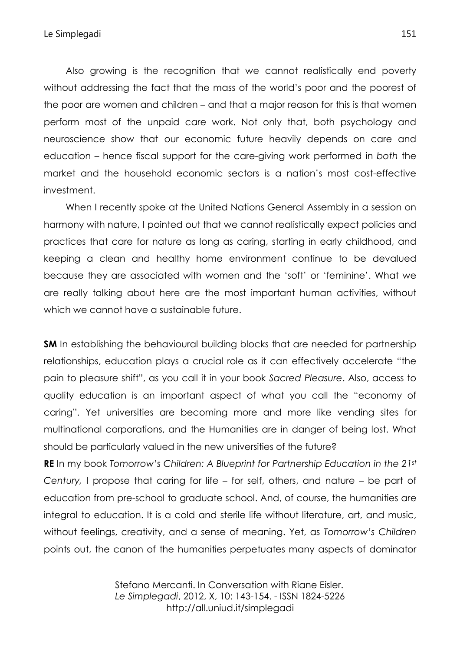Also growing is the recognition that we cannot realistically end poverty without addressing the fact that the mass of the world's poor and the poorest of the poor are women and children – and that a major reason for this is that women perform most of the unpaid care work. Not only that, both psychology and neuroscience show that our economic future heavily depends on care and education – hence fiscal support for the care-giving work performed in *both* the market and the household economic sectors is a nation's most cost-effective investment.

When I recently spoke at the United Nations General Assembly in a session on harmony with nature, I pointed out that we cannot realistically expect policies and practices that care for nature as long as caring, starting in early childhood, and keeping a clean and healthy home environment continue to be devalued because they are associated with women and the 'soft' or 'feminine'. What we are really talking about here are the most important human activities, without which we cannot have a sustainable future.

**SM** In establishing the behavioural building blocks that are needed for partnership relationships, education plays a crucial role as it can effectively accelerate "the pain to pleasure shift", as you call it in your book *Sacred Pleasure*. Also, access to quality education is an important aspect of what you call the "economy of caring". Yet universities are becoming more and more like vending sites for multinational corporations, and the Humanities are in danger of being lost. What should be particularly valued in the new universities of the future?

**RE** In my book *Tomorrow's Children: A Blueprint for Partnership Education in the 21st Century,* I propose that caring for life – for self, others, and nature – be part of education from pre-school to graduate school. And, of course, the humanities are integral to education. It is a cold and sterile life without literature, art, and music, without feelings, creativity, and a sense of meaning. Yet, as *Tomorrow's Children* points out, the canon of the humanities perpetuates many aspects of dominator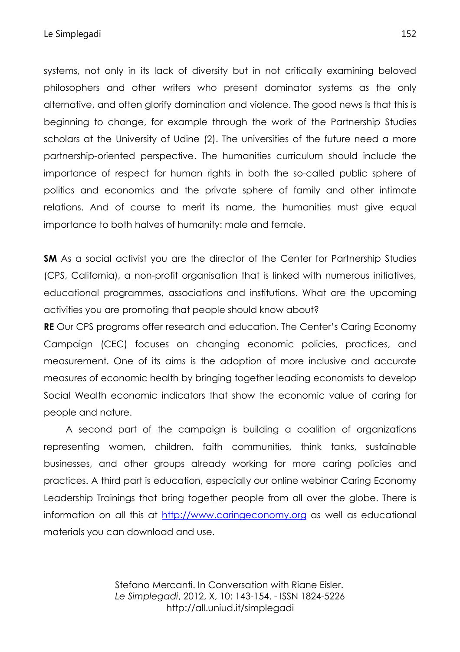systems, not only in its lack of diversity but in not critically examining beloved philosophers and other writers who present dominator systems as the only alternative, and often glorify domination and violence. The good news is that this is beginning to change, for example through the work of the Partnership Studies scholars at the University of Udine (2). The universities of the future need a more partnership-oriented perspective. The humanities curriculum should include the importance of respect for human rights in both the so-called public sphere of politics and economics and the private sphere of family and other intimate relations. And of course to merit its name, the humanities must give equal importance to both halves of humanity: male and female.

**SM** As a social activist you are the director of the Center for Partnership Studies (CPS, California), a non-profit organisation that is linked with numerous initiatives, educational programmes, associations and institutions. What are the upcoming activities you are promoting that people should know about?

**RE** Our CPS programs offer research and education. The Center's Caring Economy Campaign (CEC) focuses on changing economic policies, practices, and measurement. One of its aims is the adoption of more inclusive and accurate measures of economic health by bringing together leading economists to develop Social Wealth economic indicators that show the economic value of caring for people and nature.

A second part of the campaign is building a coalition of organizations representing women, children, faith communities, think tanks, sustainable businesses, and other groups already working for more caring policies and practices. A third part is education, especially our online webinar Caring Economy Leadership Trainings that bring together people from all over the globe. There is information on all this at http://www.caringeconomy.org as well as educational materials you can download and use.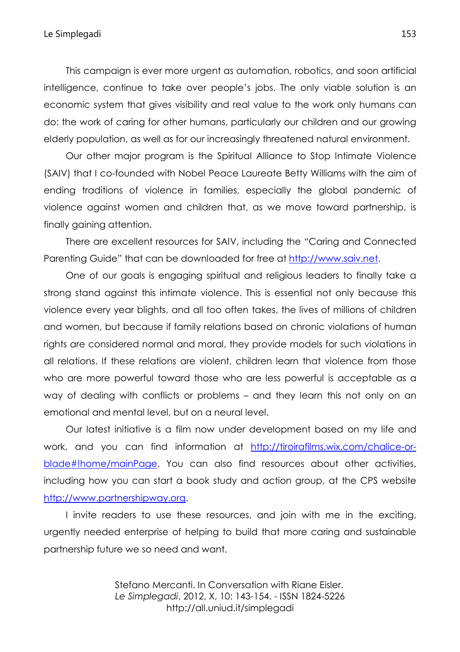This campaign is ever more urgent as automation, robotics, and soon artificial intelligence, continue to take over people's jobs. The only viable solution is an economic system that gives visibility and real value to the work only humans can do: the work of caring for other humans, particularly our children and our growing elderly population, as well as for our increasingly threatened natural environment.

Our other major program is the Spiritual Alliance to Stop Intimate Violence (SAIV) that I co-founded with Nobel Peace Laureate Betty Williams with the aim of ending traditions of violence in families, especially the global pandemic of violence against women and children that, as we move toward partnership, is finally gaining attention.

There are excellent resources for SAIV, including the "Caring and Connected Parenting Guide" that can be downloaded for free at http://www.saiv.net.

One of our goals is engaging spiritual and religious leaders to finally take a strong stand against this intimate violence. This is essential not only because this violence every year blights, and all too often takes, the lives of millions of children and women, but because if family relations based on chronic violations of human rights are considered normal and moral, they provide models for such violations in all relations. If these relations are violent, children learn that violence from those who are more powerful toward those who are less powerful is acceptable as a way of dealing with conflicts or problems – and they learn this not only on an emotional and mental level, but on a neural level.

Our latest initiative is a film now under development based on my life and work, and you can find information at http://tiroirafilms.wix.com/chalice-orblade#!home/mainPage. You can also find resources about other activities, including how you can start a book study and action group, at the CPS website http://www.partnershipway.org.

I invite readers to use these resources, and join with me in the exciting, urgently needed enterprise of helping to build that more caring and sustainable partnership future we so need and want.